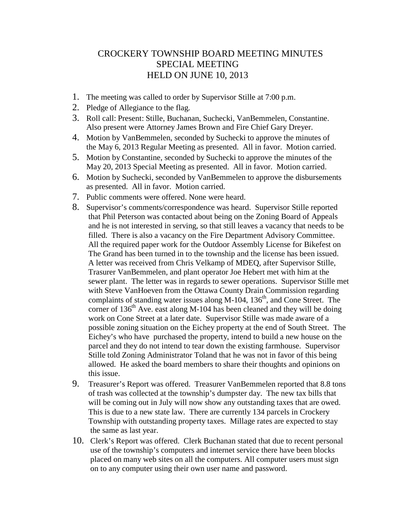## CROCKERY TOWNSHIP BOARD MEETING MINUTES SPECIAL MEETING HELD ON JUNE 10, 2013

- 1. The meeting was called to order by Supervisor Stille at 7:00 p.m.
- 2. Pledge of Allegiance to the flag.
- 3. Roll call: Present: Stille, Buchanan, Suchecki, VanBemmelen, Constantine. Also present were Attorney James Brown and Fire Chief Gary Dreyer.
- 4. Motion by VanBemmelen, seconded by Suchecki to approve the minutes of the May 6, 2013 Regular Meeting as presented. All in favor. Motion carried.
- 5. Motion by Constantine, seconded by Suchecki to approve the minutes of the May 20, 2013 Special Meeting as presented. All in favor. Motion carried.
- 6. Motion by Suchecki, seconded by VanBemmelen to approve the disbursements as presented. All in favor. Motion carried.
- 7. Public comments were offered. None were heard.
- 8. Supervisor's comments/correspondence was heard. Supervisor Stille reported that Phil Peterson was contacted about being on the Zoning Board of Appeals and he is not interested in serving, so that still leaves a vacancy that needs to be filled. There is also a vacancy on the Fire Department Advisory Committee. All the required paper work for the Outdoor Assembly License for Bikefest on The Grand has been turned in to the township and the license has been issued. A letter was received from Chris Velkamp of MDEQ, after Supervisor Stille, Trasurer VanBemmelen, and plant operator Joe Hebert met with him at the sewer plant. The letter was in regards to sewer operations. Supervisor Stille met with Steve VanHoeven from the Ottawa County Drain Commission regarding complaints of standing water issues along  $M-104$ ,  $136<sup>th</sup>$ , and Cone Street. The corner of 136<sup>th</sup> Ave. east along M-104 has been cleaned and they will be doing work on Cone Street at a later date. Supervisor Stille was made aware of a possible zoning situation on the Eichey property at the end of South Street. The Eichey's who have purchased the property, intend to build a new house on the parcel and they do not intend to tear down the existing farmhouse. Supervisor Stille told Zoning Administrator Toland that he was not in favor of this being allowed. He asked the board members to share their thoughts and opinions on this issue.
- 9. Treasurer's Report was offered. Treasurer VanBemmelen reported that 8.8 tons of trash was collected at the township's dumpster day. The new tax bills that will be coming out in July will now show any outstanding taxes that are owed. This is due to a new state law. There are currently 134 parcels in Crockery Township with outstanding property taxes. Millage rates are expected to stay the same as last year.
- 10. Clerk's Report was offered. Clerk Buchanan stated that due to recent personal use of the township's computers and internet service there have been blocks placed on many web sites on all the computers. All computer users must sign on to any computer using their own user name and password.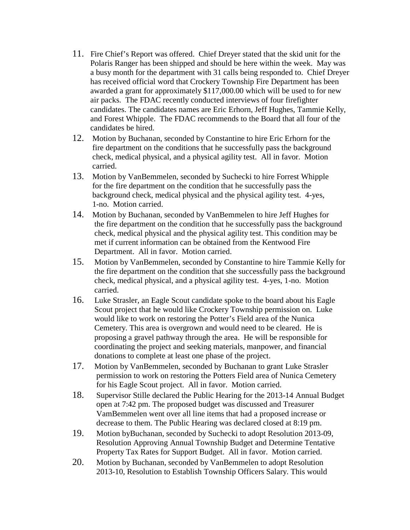- 11. Fire Chief's Report was offered. Chief Dreyer stated that the skid unit for the Polaris Ranger has been shipped and should be here within the week. May was a busy month for the department with 31 calls being responded to. Chief Dreyer has received official word that Crockery Township Fire Department has been awarded a grant for approximately \$117,000.00 which will be used to for new air packs. The FDAC recently conducted interviews of four firefighter candidates. The candidates names are Eric Erhorn, Jeff Hughes, Tammie Kelly, and Forest Whipple. The FDAC recommends to the Board that all four of the candidates be hired.
- 12. Motion by Buchanan, seconded by Constantine to hire Eric Erhorn for the fire department on the conditions that he successfully pass the background check, medical physical, and a physical agility test. All in favor. Motion carried.
- 13. Motion by VanBemmelen, seconded by Suchecki to hire Forrest Whipple for the fire department on the condition that he successfully pass the background check, medical physical and the physical agility test. 4-yes, 1-no. Motion carried.
- 14. Motion by Buchanan, seconded by VanBemmelen to hire Jeff Hughes for the fire department on the condition that he successfully pass the background check, medical physical and the physical agility test. This condition may be met if current information can be obtained from the Kentwood Fire Department. All in favor. Motion carried.
- 15. Motion by VanBemmelen, seconded by Constantine to hire Tammie Kelly for the fire department on the condition that she successfully pass the background check, medical physical, and a physical agility test. 4-yes, 1-no. Motion carried.
- 16. Luke Strasler, an Eagle Scout candidate spoke to the board about his Eagle Scout project that he would like Crockery Township permission on. Luke would like to work on restoring the Potter's Field area of the Nunica Cemetery. This area is overgrown and would need to be cleared. He is proposing a gravel pathway through the area. He will be responsible for coordinating the project and seeking materials, manpower, and financial donations to complete at least one phase of the project.
- 17. Motion by VanBemmelen, seconded by Buchanan to grant Luke Strasler permission to work on restoring the Potters Field area of Nunica Cemetery for his Eagle Scout project. All in favor. Motion carried.
- 18. Supervisor Stille declared the Public Hearing for the 2013-14 Annual Budget open at 7:42 pm. The proposed budget was discussed and Treasurer VamBemmelen went over all line items that had a proposed increase or decrease to them. The Public Hearing was declared closed at 8:19 pm.
- 19. Motion byBuchanan, seconded by Suchecki to adopt Resolution 2013-09, Resolution Approving Annual Township Budget and Determine Tentative Property Tax Rates for Support Budget. All in favor. Motion carried.
- 20. Motion by Buchanan, seconded by VanBemmelen to adopt Resolution 2013-10, Resolution to Establish Township Officers Salary. This would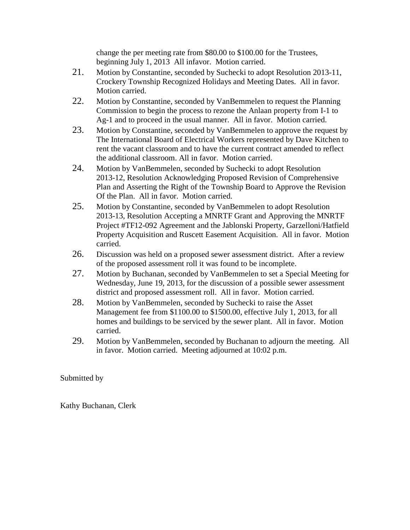change the per meeting rate from \$80.00 to \$100.00 for the Trustees, beginning July 1, 2013 All infavor. Motion carried.

- 21. Motion by Constantine, seconded by Suchecki to adopt Resolution 2013-11, Crockery Township Recognized Holidays and Meeting Dates. All in favor. Motion carried.
- 22. Motion by Constantine, seconded by VanBemmelen to request the Planning Commission to begin the process to rezone the Anlaan property from I-1 to Ag-1 and to proceed in the usual manner. All in favor. Motion carried.
- 23. Motion by Constantine, seconded by VanBemmelen to approve the request by The International Board of Electrical Workers represented by Dave Kitchen to rent the vacant classroom and to have the current contract amended to reflect the additional classroom. All in favor. Motion carried.
- 24. Motion by VanBemmelen, seconded by Suchecki to adopt Resolution 2013-12, Resolution Acknowledging Proposed Revision of Comprehensive Plan and Asserting the Right of the Township Board to Approve the Revision Of the Plan. All in favor. Motion carried.
- 25. Motion by Constantine, seconded by VanBemmelen to adopt Resolution 2013-13, Resolution Accepting a MNRTF Grant and Approving the MNRTF Project #TF12-092 Agreement and the Jablonski Property, Garzelloni/Hatfield Property Acquisition and Ruscett Easement Acquisition. All in favor. Motion carried.
- 26. Discussion was held on a proposed sewer assessment district. After a review of the proposed assessment roll it was found to be incomplete.
- 27. Motion by Buchanan, seconded by VanBemmelen to set a Special Meeting for Wednesday, June 19, 2013, for the discussion of a possible sewer assessment district and proposed assessment roll. All in favor. Motion carried.
- 28. Motion by VanBemmelen, seconded by Suchecki to raise the Asset Management fee from \$1100.00 to \$1500.00, effective July 1, 2013, for all homes and buildings to be serviced by the sewer plant. All in favor. Motion carried.
- 29. Motion by VanBemmelen, seconded by Buchanan to adjourn the meeting. All in favor. Motion carried. Meeting adjourned at 10:02 p.m.

## Submitted by

Kathy Buchanan, Clerk